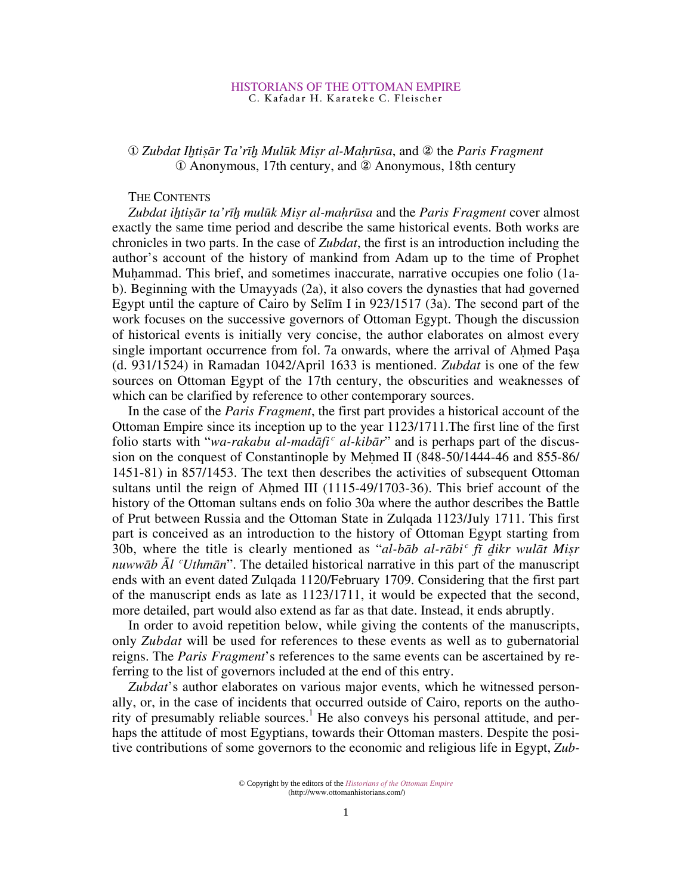# <sup>1</sup> 2*ubdat Ihtisār Ta'rīh Mulūk Misr al-Maḥrūsa*, and 2 the *Paris Fragment* 10 Anonymous, 17th century, and 2 Anonymous, 18th century

# THE CONTENTS

*Zubdat iƒtißr ta'rıƒ mulük Mißr al-ma˛rüsa* and the *Paris Fragment* cover almost exactly the same time period and describe the same historical events. Both works are chronicles in two parts. In the case of *Zubdat*, the first is an introduction including the author's account of the history of mankind from Adam up to the time of Prophet Muhammad. This brief, and sometimes inaccurate, narrative occupies one folio (1ab). Beginning with the Umayyads (2a), it also covers the dynasties that had governed Egypt until the capture of Cairo by Selım I in 923/1517 (3a). The second part of the work focuses on the successive governors of Ottoman Egypt. Though the discussion of historical events is initially very concise, the author elaborates on almost every single important occurrence from fol. 7a onwards, where the arrival of Ahmed Pasa (d. 931/1524) in Ramadan 1042/April 1633 is mentioned. *Zubdat* is one of the few sources on Ottoman Egypt of the 17th century, the obscurities and weaknesses of which can be clarified by reference to other contemporary sources.

In the case of the *Paris Fragment*, the first part provides a historical account of the Ottoman Empire since its inception up to the year 1123/1711.The first line of the first folio starts with "*wa-rakabu al-madāfi<sup>c</sup> al-kibār*" and is perhaps part of the discussion on the conquest of Constantinople by Mehmed II (848-50/1444-46 and 855-86/ 1451-81) in 857/1453. The text then describes the activities of subsequent Ottoman sultans until the reign of Ahmed III (1115-49/1703-36). This brief account of the history of the Ottoman sultans ends on folio 30a where the author describes the Battle of Prut between Russia and the Ottoman State in Zulqada 1123/July 1711. This first part is conceived as an introduction to the history of Ottoman Egypt starting from 30b, where the title is clearly mentioned as "*al-bb al-rbifi fı ikr wult Mißr nuwwāb*  $\bar{A}l$  *<sup>c</sup>Uthmān*". The detailed historical narrative in this part of the manuscript ends with an event dated Zulqada 1120/February 1709. Considering that the first part of the manuscript ends as late as 1123/1711, it would be expected that the second, more detailed, part would also extend as far as that date. Instead, it ends abruptly.

In order to avoid repetition below, while giving the contents of the manuscripts, only *Zubdat* will be used for references to these events as well as to gubernatorial reigns. The *Paris Fragment*'s references to the same events can be ascertained by referring to the list of governors included at the end of this entry.

*Zubdat*'s author elaborates on various major events, which he witnessed personally, or, in the case of incidents that occurred outside of Cairo, reports on the authority of presumably reliable sources.<sup>1</sup> He also conveys his personal attitude, and perhaps the attitude of most Egyptians, towards their Ottoman masters. Despite the positive contributions of some governors to the economic and religious life in Egypt, *Zub-*

<sup>©</sup> Copyright by the editors of the *Historians of the Ottoman Empire* (http://www.ottomanhistorians.com/)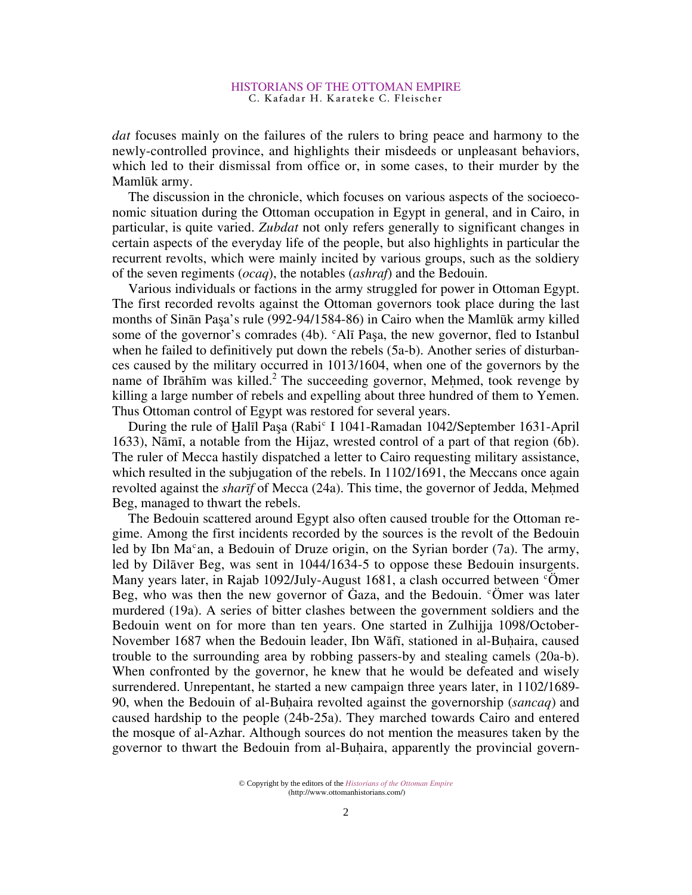*dat* focuses mainly on the failures of the rulers to bring peace and harmony to the newly-controlled province, and highlights their misdeeds or unpleasant behaviors, which led to their dismissal from office or, in some cases, to their murder by the Mamlük army.

The discussion in the chronicle, which focuses on various aspects of the socioeconomic situation during the Ottoman occupation in Egypt in general, and in Cairo, in particular, is quite varied. *Zubdat* not only refers generally to significant changes in certain aspects of the everyday life of the people, but also highlights in particular the recurrent revolts, which were mainly incited by various groups, such as the soldiery of the seven regiments (*ocaq*), the notables (*ashraf*) and the Bedouin.

Various individuals or factions in the army struggled for power in Ottoman Egypt. The first recorded revolts against the Ottoman governors took place during the last months of Sinān Paşa's rule (992-94/1584-86) in Cairo when the Mamlūk army killed some of the governor's comrades (4b).  $c$ Alī Paşa, the new governor, fled to Istanbul when he failed to definitively put down the rebels (5a-b). Another series of disturbances caused by the military occurred in 1013/1604, when one of the governors by the name of Ibrāhīm was killed.<sup>2</sup> The succeeding governor, Mehmed, took revenge by killing a large number of rebels and expelling about three hundred of them to Yemen. Thus Ottoman control of Egypt was restored for several years.

During the rule of Halīl Paşa (Rabi<sup>c</sup> I 1041-Ramadan 1042/September 1631-April 1633), Nāmī, a notable from the Hijaz, wrested control of a part of that region (6b). The ruler of Mecca hastily dispatched a letter to Cairo requesting military assistance, which resulted in the subjugation of the rebels. In 1102/1691, the Meccans once again revolted against the *sharif* of Mecca (24a). This time, the governor of Jedda, Mehmed Beg, managed to thwart the rebels.

The Bedouin scattered around Egypt also often caused trouble for the Ottoman regime. Among the first incidents recorded by the sources is the revolt of the Bedouin led by Ibn Ma<sup>c</sup>an, a Bedouin of Druze origin, on the Syrian border (7a). The army, led by Dilāver Beg, was sent in 1044/1634-5 to oppose these Bedouin insurgents. Many years later, in Rajab 1092/July-August 1681, a clash occurred between  $\degree$ Ömer Beg, who was then the new governor of Gaza, and the Bedouin.  $\degree$ Omer was later murdered (19a). A series of bitter clashes between the government soldiers and the Bedouin went on for more than ten years. One started in Zulhijja 1098/October-November 1687 when the Bedouin leader, Ibn Wafi, stationed in al-Buhaira, caused trouble to the surrounding area by robbing passers-by and stealing camels (20a-b). When confronted by the governor, he knew that he would be defeated and wisely surrendered. Unrepentant, he started a new campaign three years later, in 1102/1689- 90, when the Bedouin of al-Bu˛aira revolted against the governorship (*sancaq*) and caused hardship to the people (24b-25a). They marched towards Cairo and entered the mosque of al-Azhar. Although sources do not mention the measures taken by the governor to thwart the Bedouin from al-Buhaira, apparently the provincial govern-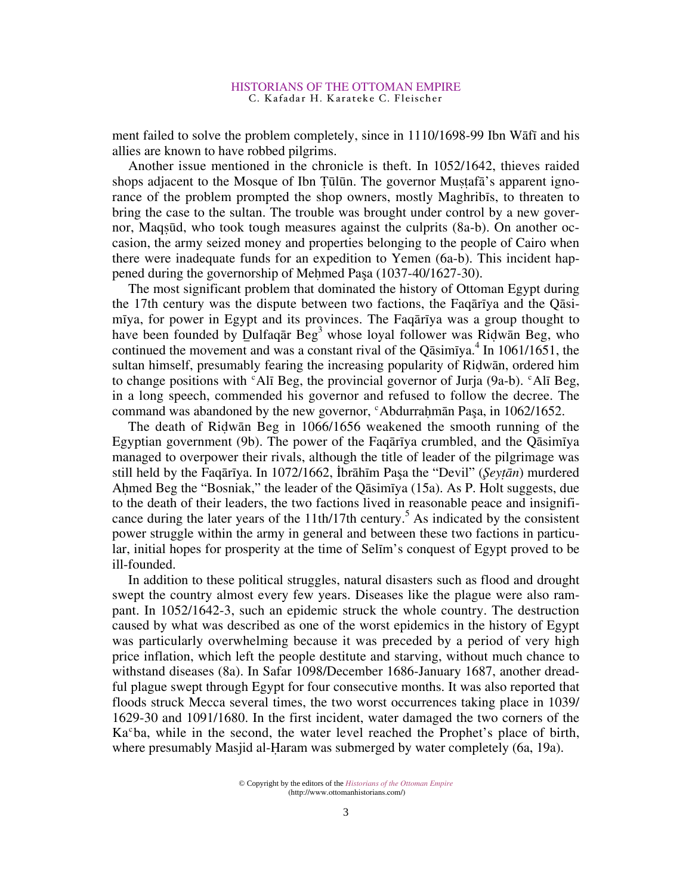ment failed to solve the problem completely, since in 1110/1698-99 Ibn Wafi and his allies are known to have robbed pilgrims.

Another issue mentioned in the chronicle is theft. In 1052/1642, thieves raided shops adjacent to the Mosque of Ibn Tūlūn. The governor Mustafa's apparent ignorance of the problem prompted the shop owners, mostly Maghribıs, to threaten to bring the case to the sultan. The trouble was brought under control by a new governor, Maqßüd, who took tough measures against the culprits (8a-b). On another occasion, the army seized money and properties belonging to the people of Cairo when there were inadequate funds for an expedition to Yemen (6a-b). This incident happened during the governorship of Mehmed Paşa (1037-40/1627-30).

The most significant problem that dominated the history of Ottoman Egypt during the 17th century was the dispute between two factions, the Faquariya and the Quisimiya, for power in Egypt and its provinces. The Faquative was a group thought to have been founded by Dulfaqar  $\text{Beg}^3$  whose loyal follower was Ridwan Beg, who continued the movement and was a constant rival of the Qasimiya.<sup>4</sup> In 1061/1651, the sultan himself, presumably fearing the increasing popularity of Ridwān, ordered him to change positions with  $f$ Al<sub>I</sub> Beg, the provincial governor of Juria (9a-b).  $f$ Al<sub>I</sub> Beg, in a long speech, commended his governor and refused to follow the decree. The command was abandoned by the new governor, "Abdurrahman Paşa, in 1062/1652.

The death of Ridwān Beg in 1066/1656 weakened the smooth running of the Egyptian government (9b). The power of the Faquarity crumbled, and the Quasimiya managed to overpower their rivals, although the title of leader of the pilgrimage was still held by the Faqārīya. In 1072/1662, İbrāhīm Paşa the "Devil" (*Şeyṭān*) murdered Ahmed Beg the "Bosniak," the leader of the Q $\overline{a}$ simiya (15a). As P. Holt suggests, due to the death of their leaders, the two factions lived in reasonable peace and insignificance during the later years of the 11th/17th century.<sup>5</sup> As indicated by the consistent power struggle within the army in general and between these two factions in particular, initial hopes for prosperity at the time of Selım's conquest of Egypt proved to be ill-founded.

In addition to these political struggles, natural disasters such as flood and drought swept the country almost every few years. Diseases like the plague were also rampant. In 1052/1642-3, such an epidemic struck the whole country. The destruction caused by what was described as one of the worst epidemics in the history of Egypt was particularly overwhelming because it was preceded by a period of very high price inflation, which left the people destitute and starving, without much chance to withstand diseases (8a). In Safar 1098/December 1686-January 1687, another dreadful plague swept through Egypt for four consecutive months. It was also reported that floods struck Mecca several times, the two worst occurrences taking place in 1039/ 1629-30 and 1091/1680. In the first incident, water damaged the two corners of the Ka<sup>c</sup>ba, while in the second, the water level reached the Prophet's place of birth, where presumably Masjid al-Haram was submerged by water completely  $(6a, 19a)$ .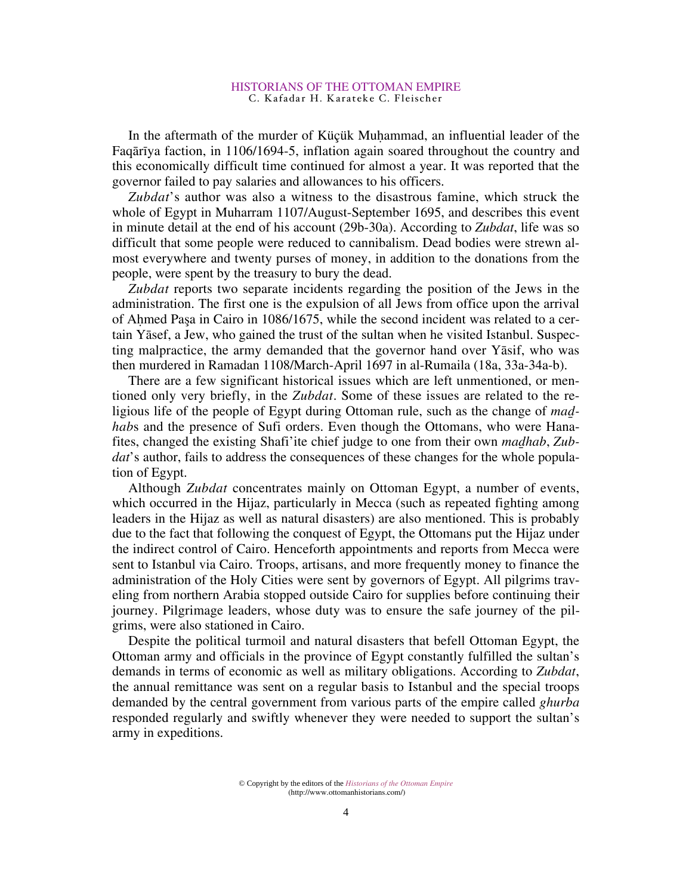In the aftermath of the murder of Küçük Muhammad, an influential leader of the Faqārīya faction, in 1106/1694-5, inflation again soared throughout the country and this economically difficult time continued for almost a year. It was reported that the governor failed to pay salaries and allowances to his officers.

*Zubdat*'s author was also a witness to the disastrous famine, which struck the whole of Egypt in Muharram 1107/August-September 1695, and describes this event in minute detail at the end of his account (29b-30a). According to *Zubdat*, life was so difficult that some people were reduced to cannibalism. Dead bodies were strewn almost everywhere and twenty purses of money, in addition to the donations from the people, were spent by the treasury to bury the dead.

*Zubdat* reports two separate incidents regarding the position of the Jews in the administration. The first one is the expulsion of all Jews from office upon the arrival of A˛med Pasa in Cairo in 1086/1675, while the second incident was related to a certain Yāsef, a Jew, who gained the trust of the sultan when he visited Istanbul. Suspecting malpractice, the army demanded that the governor hand over Yāsif, who was then murdered in Ramadan 1108/March-April 1697 in al-Rumaila (18a, 33a-34a-b).

There are a few significant historical issues which are left unmentioned, or mentioned only very briefly, in the *Zubdat*. Some of these issues are related to the religious life of the people of Egypt during Ottoman rule, such as the change of *ma hab*s and the presence of Sufi orders. Even though the Ottomans, who were Hanafites, changed the existing Shafi'ite chief judge to one from their own *mahab*, *Zubdat*'s author, fails to address the consequences of these changes for the whole population of Egypt.

Although *Zubdat* concentrates mainly on Ottoman Egypt, a number of events, which occurred in the Hijaz, particularly in Mecca (such as repeated fighting among leaders in the Hijaz as well as natural disasters) are also mentioned. This is probably due to the fact that following the conquest of Egypt, the Ottomans put the Hijaz under the indirect control of Cairo. Henceforth appointments and reports from Mecca were sent to Istanbul via Cairo. Troops, artisans, and more frequently money to finance the administration of the Holy Cities were sent by governors of Egypt. All pilgrims traveling from northern Arabia stopped outside Cairo for supplies before continuing their journey. Pilgrimage leaders, whose duty was to ensure the safe journey of the pilgrims, were also stationed in Cairo.

Despite the political turmoil and natural disasters that befell Ottoman Egypt, the Ottoman army and officials in the province of Egypt constantly fulfilled the sultan's demands in terms of economic as well as military obligations. According to *Zubdat*, the annual remittance was sent on a regular basis to Istanbul and the special troops demanded by the central government from various parts of the empire called *ghurba* responded regularly and swiftly whenever they were needed to support the sultan's army in expeditions.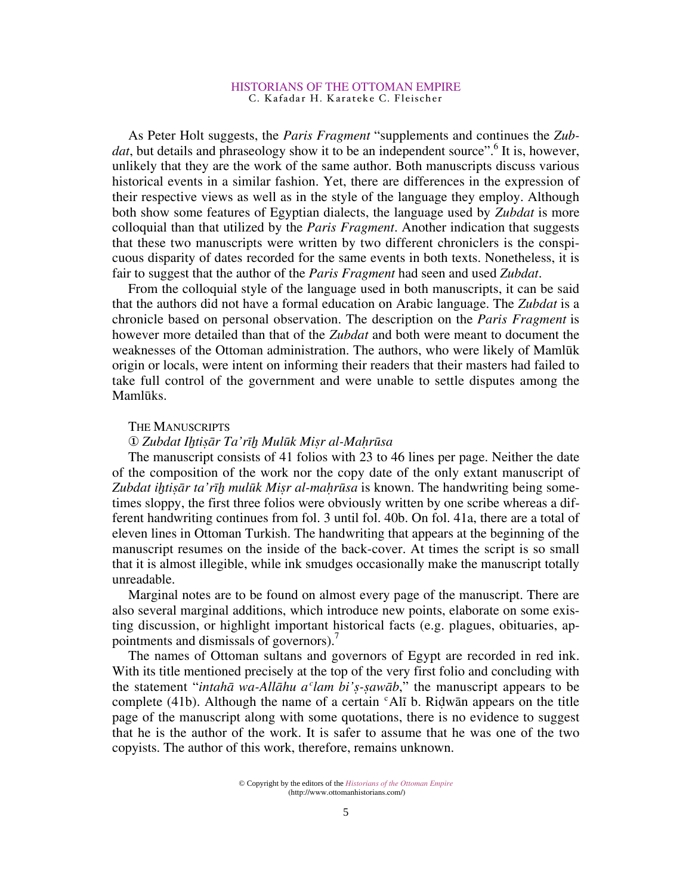As Peter Holt suggests, the *Paris Fragment* "supplements and continues the *Zub*dat, but details and phraseology show it to be an independent source".<sup>6</sup> It is, however, unlikely that they are the work of the same author. Both manuscripts discuss various historical events in a similar fashion. Yet, there are differences in the expression of their respective views as well as in the style of the language they employ. Although both show some features of Egyptian dialects, the language used by *Zubdat* is more colloquial than that utilized by the *Paris Fragment*. Another indication that suggests that these two manuscripts were written by two different chroniclers is the conspicuous disparity of dates recorded for the same events in both texts. Nonetheless, it is fair to suggest that the author of the *Paris Fragment* had seen and used *Zubdat*.

From the colloquial style of the language used in both manuscripts, it can be said that the authors did not have a formal education on Arabic language. The *Zubdat* is a chronicle based on personal observation. The description on the *Paris Fragment* is however more detailed than that of the *Zubdat* and both were meant to document the weaknesses of the Ottoman administration. The authors, who were likely of Mamlük origin or locals, were intent on informing their readers that their masters had failed to take full control of the government and were unable to settle disputes among the Mamlüks.

## THE MANUSCRIPTS

# *Zubdat Iƒtißr Ta'rıƒ Mulük Mißr al-Ma˛rüsa*

The manuscript consists of 41 folios with 23 to 46 lines per page. Neither the date of the composition of the work nor the copy date of the only extant manuscript of *Zubdat iƒtißr ta'rıƒ mulük Mißr al-ma˛rüsa* is known. The handwriting being sometimes sloppy, the first three folios were obviously written by one scribe whereas a different handwriting continues from fol. 3 until fol. 40b. On fol. 41a, there are a total of eleven lines in Ottoman Turkish. The handwriting that appears at the beginning of the manuscript resumes on the inside of the back-cover. At times the script is so small that it is almost illegible, while ink smudges occasionally make the manuscript totally unreadable.

Marginal notes are to be found on almost every page of the manuscript. There are also several marginal additions, which introduce new points, elaborate on some existing discussion, or highlight important historical facts (e.g. plagues, obituaries, appointments and dismissals of governors).<sup>7</sup>

The names of Ottoman sultans and governors of Egypt are recorded in red ink. With its title mentioned precisely at the top of the very first folio and concluding with the statement "*intaha* wa-Allahu a<sup>c</sup>lam bi's-sawab," the manuscript appears to be complete (41b). Although the name of a certain  $c$ Alī b. Ridwān appears on the title page of the manuscript along with some quotations, there is no evidence to suggest that he is the author of the work. It is safer to assume that he was one of the two copyists. The author of this work, therefore, remains unknown.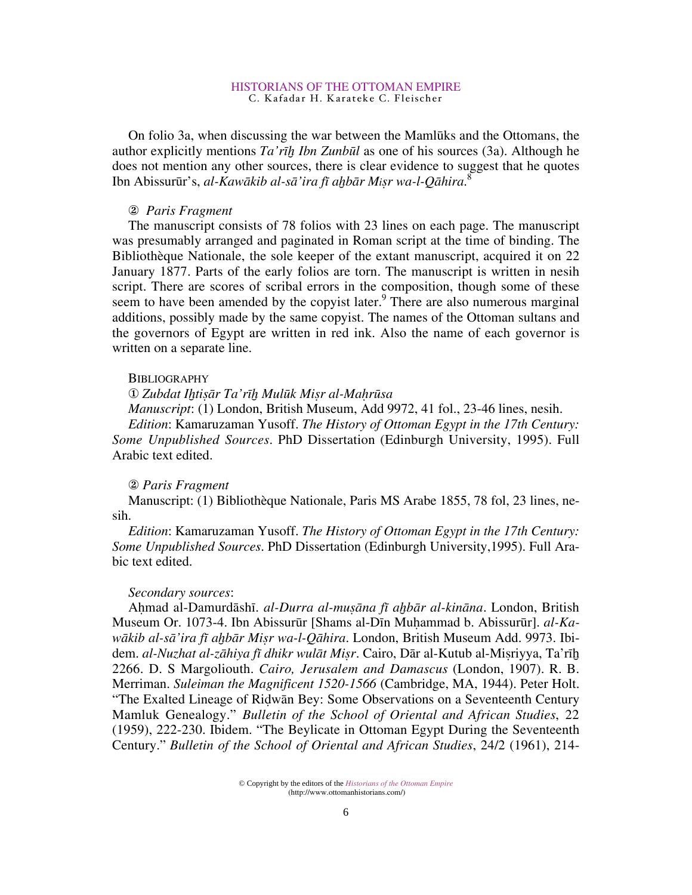On folio 3a, when discussing the war between the Mamlüks and the Ottomans, the author explicitly mentions *Ta'rıƒ Ibn Zunbül* as one of his sources (3a). Although he does not mention any other sources, there is clear evidence to suggest that he quotes Ibn Abissurür's, *al-Kawkib al-s'ira fı aƒbr Mißr wa-l-Qhira*. 8

# - *Paris Fragment*

The manuscript consists of 78 folios with 23 lines on each page. The manuscript was presumably arranged and paginated in Roman script at the time of binding. The Bibliothèque Nationale, the sole keeper of the extant manuscript, acquired it on 22 January 1877. Parts of the early folios are torn. The manuscript is written in nesih script. There are scores of scribal errors in the composition, though some of these seem to have been amended by the copyist later. $9$  There are also numerous marginal additions, possibly made by the same copyist. The names of the Ottoman sultans and the governors of Egypt are written in red ink. Also the name of each governor is written on a separate line.

# **BIBLIOGRAPHY**

*Zubdat Iƒtißr Ta'rıƒ Mulük Mißr al-Ma˛rüsa*

*Manuscript*: (1) London, British Museum, Add 9972, 41 fol., 23-46 lines, nesih.

*Edition*: Kamaruzaman Yusoff. *The History of Ottoman Egypt in the 17th Century: Some Unpublished Sources*. PhD Dissertation (Edinburgh University, 1995). Full Arabic text edited.

# - *Paris Fragment*

Manuscript: (1) Bibliothèque Nationale, Paris MS Arabe 1855, 78 fol, 23 lines, nesih.

*Edition*: Kamaruzaman Yusoff. *The History of Ottoman Egypt in the 17th Century: Some Unpublished Sources*. PhD Dissertation (Edinburgh University,1995). Full Arabic text edited.

### *Secondary sources*:

Ahmad al-Damurdāshī. *al-Durra al-muṣāna fī aḫbār al-kināna*. London, British Museum Or. 1073-4. Ibn Abissurūr [Shams al-Dīn Muhammad b. Abissurūr]. *al-Kawkib al-s'ira fı aƒbr Mißr wa-l-Qhira*. London, British Museum Add. 9973. Ibidem. al-Nuzhat al-zāhiya fī dhikr wulāt Miṣr. Cairo, Dār al-Kutub al-Miṣriyya, Ta'rīḫ 2266. D. S Margoliouth. *Cairo, Jerusalem and Damascus* (London, 1907). R. B. Merriman. *Suleiman the Magnificent 1520-1566* (Cambridge, MA, 1944). Peter Holt. "The Exalted Lineage of Ridwān Bey: Some Observations on a Seventeenth Century Mamluk Genealogy." *Bulletin of the School of Oriental and African Studies*, 22 (1959), 222-230. Ibidem. "The Beylicate in Ottoman Egypt During the Seventeenth Century." *Bulletin of the School of Oriental and African Studies*, 24/2 (1961), 214-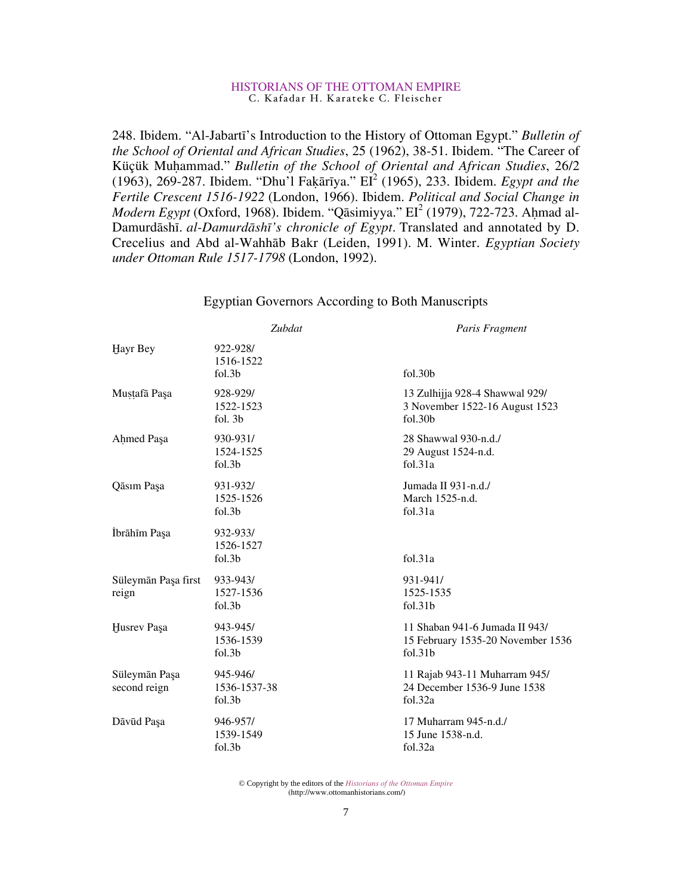248. Ibidem. "Al-Jabartı's Introduction to the History of Ottoman Egypt." *Bulletin of the School of Oriental and African Studies*, 25 (1962), 38-51. Ibidem. "The Career of Küçük Muḥammad." *Bulletin of the School of Oriental and African Studies*, 26/2 (1963), 269-287. Ibidem. "Dhu'l Fakārīya." EI<sup>2</sup> (1965), 233. Ibidem. *Egypt and the Fertile Crescent 1516-1922* (London, 1966). Ibidem. *Political and Social Change in* Modern Egypt (Oxford, 1968). Ibidem. "Qāsimiyya." EI<sup>2</sup> (1979), 722-723. Ahmad al-Damurdāshī. *al-Damurdāshī's chronicle of Egypt*. Translated and annotated by D. Crecelius and Abd al-Wahhāb Bakr (Leiden, 1991). M. Winter. *Egyptian Society under Ottoman Rule 1517-1798* (London, 1992).

|                               | Zubdat                                      | Paris Fragment                                                                             |
|-------------------------------|---------------------------------------------|--------------------------------------------------------------------------------------------|
| Hayr Bey                      | 922-928/<br>1516-1522<br>fol.3b             | fol.30 <sub>b</sub>                                                                        |
| Mustafā Paşa                  | 928-929/<br>1522-1523<br>fol. 3b            | 13 Zulhijja 928-4 Shawwal 929/<br>3 November 1522-16 August 1523<br>fol.30b                |
| Ahmed Paşa                    | 930-931/<br>1524-1525<br>fol.3 <sub>b</sub> | 28 Shawwal 930-n.d./<br>29 August 1524-n.d.<br>fol.31a                                     |
| Qāsım Paşa                    | 931-932/<br>1525-1526<br>fol.3 <sub>b</sub> | Jumada II 931-n.d./<br>March 1525-n.d.<br>fol.31a                                          |
| İbrāhīm Paşa                  | 932-933/<br>1526-1527<br>fol.3b             | fol.31a                                                                                    |
| Süleymān Paşa first<br>reign  | 933-943/<br>1527-1536<br>fol.3b             | 931-941/<br>1525-1535<br>fol.31b                                                           |
| Husrev Paşa                   | 943-945/<br>1536-1539<br>fol.3b             | 11 Shaban 941-6 Jumada II 943/<br>15 February 1535-20 November 1536<br>fol.31 <sub>b</sub> |
| Süleymān Paşa<br>second reign | 945-946/<br>1536-1537-38<br>fol.3b          | 11 Rajab 943-11 Muharram 945/<br>24 December 1536-9 June 1538<br>fol.32a                   |
| Dāvūd Paşa                    | 946-957/<br>1539-1549<br>fol.3b             | 17 Muharram 945-n.d./<br>15 June 1538-n.d.<br>fol.32a                                      |

# Egyptian Governors According to Both Manuscripts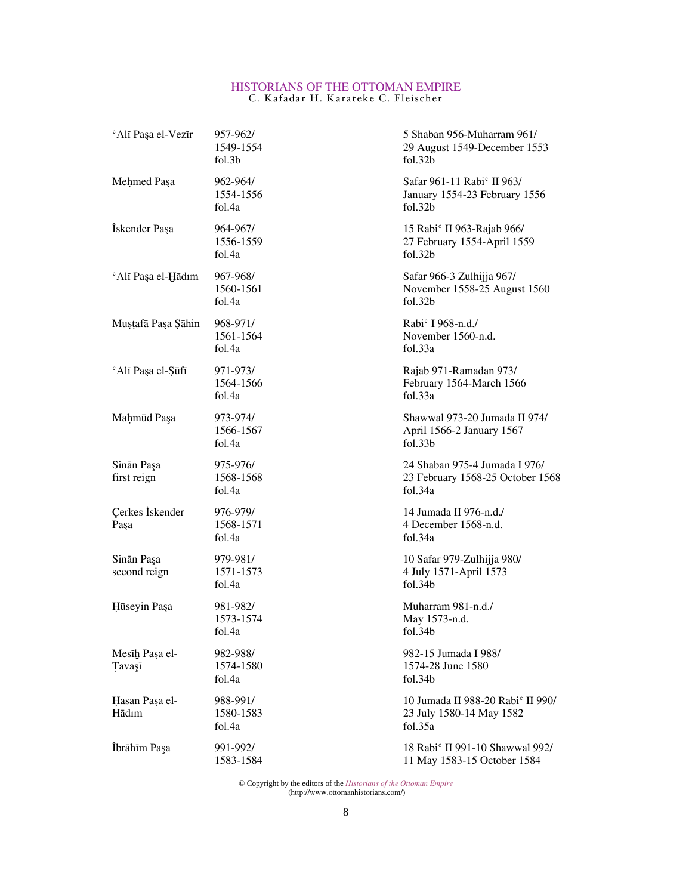| <sup>c</sup> Alī Paşa el-Vezīr | 957-962/<br>1549-1554<br>fol.3b | 5 Shaban 956-Muharram 961/<br>29 August 1549-December 1553<br>fol.32b                          |
|--------------------------------|---------------------------------|------------------------------------------------------------------------------------------------|
| Mehmed Paşa                    | 962-964/<br>1554-1556<br>fol.4a | Safar 961-11 Rabi <sup>c</sup> II 963/<br>January 1554-23 February 1556<br>fol.32 <sub>b</sub> |
| İskender Paşa                  | 964-967/<br>1556-1559<br>fol.4a | 15 Rabi <sup>c</sup> II 963-Rajab 966/<br>27 February 1554-April 1559<br>fol.32b               |
| <sup>c</sup> Alī Paşa el-Hādım | 967-968/<br>1560-1561<br>fol.4a | Safar 966-3 Zulhijja 967/<br>November 1558-25 August 1560<br>fol.32 <sub>b</sub>               |
| Mustafā Paşa Şāhin             | 968-971/<br>1561-1564<br>fol.4a | Rabi <sup>c</sup> I 968-n.d./<br>November 1560-n.d.<br>fol.33a                                 |
| <sup>c</sup> Alī Paşa el-Şūfī  | 971-973/<br>1564-1566<br>fol.4a | Rajab 971-Ramadan 973/<br>February 1564-March 1566<br>fol.33a                                  |
| Mahmud Paşa                    | 973-974/<br>1566-1567<br>fol.4a | Shawwal 973-20 Jumada II 974/<br>April 1566-2 January 1567<br>fol.33 <sub>b</sub>              |
| Sinān Paşa<br>first reign      | 975-976/<br>1568-1568<br>fol.4a | 24 Shaban 975-4 Jumada I 976/<br>23 February 1568-25 October 1568<br>fol.34a                   |
| Çerkes İskender<br>Paşa        | 976-979/<br>1568-1571<br>fol.4a | 14 Jumada II 976-n.d./<br>4 December 1568-n.d.<br>fol.34a                                      |
| Sinān Paşa<br>second reign     | 979-981/<br>1571-1573<br>fol.4a | 10 Safar 979-Zulhijja 980/<br>4 July 1571-April 1573<br>fol.34 <sub>b</sub>                    |
| Hūseyin Paşa                   | 981-982/<br>1573-1574<br>fol.4a | Muharram 981-n.d./<br>May 1573-n.d.<br>fol.34b                                                 |
| Mesīḫ Paşa el-<br>Tavaşī       | 982-988/<br>1574-1580<br>fol.4a | 982-15 Jumada I 988/<br>1574-28 June 1580<br>fol.34b                                           |
| Hasan Paşa el-<br>Hādım        | 988-991/<br>1580-1583<br>fol.4a | 10 Jumada II 988-20 Rabi <sup>c</sup> II 990/<br>23 July 1580-14 May 1582<br>fol.35a           |
| İbrāhīm Paşa                   | 991-992/<br>1583-1584           | 18 Rabi <sup>c</sup> II 991-10 Shawwal 992/<br>11 May 1583-15 October 1584                     |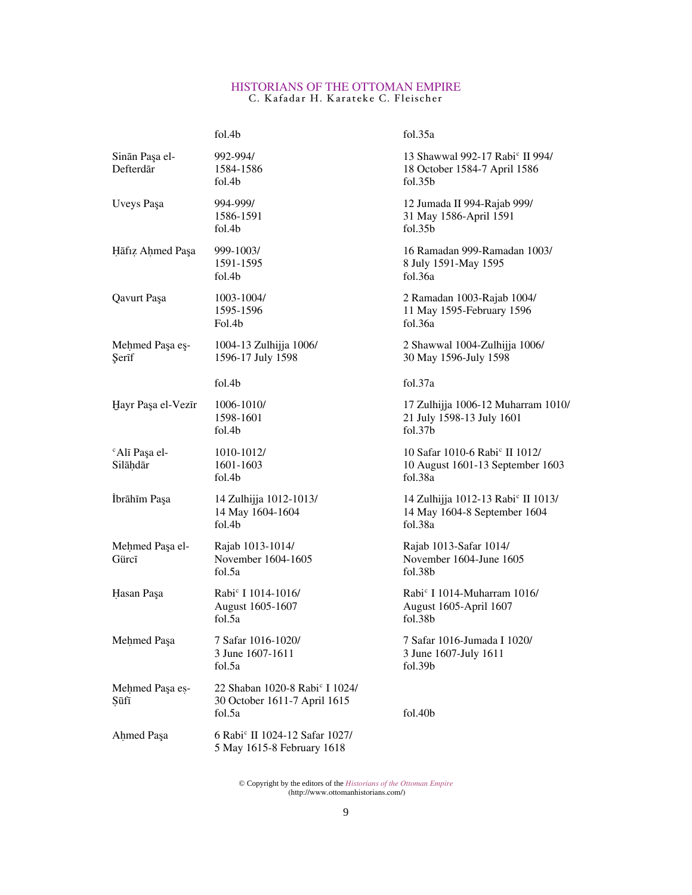|                                       | fol.4b                                                                               | fol.35a                                                                                            |
|---------------------------------------|--------------------------------------------------------------------------------------|----------------------------------------------------------------------------------------------------|
| Sinān Paşa el-<br>Defterdār           | 992-994/<br>1584-1586<br>fol.4b                                                      | 13 Shawwal 992-17 Rabi <sup>c</sup> II 994/<br>18 October 1584-7 April 1586<br>fol.35 <sub>b</sub> |
| Uveys Paşa                            | 994-999/<br>1586-1591<br>fol.4b                                                      | 12 Jumada II 994-Rajab 999/<br>31 May 1586-April 1591<br>fol.35 <sub>b</sub>                       |
| Hāfiz Ahmed Paşa                      | 999-1003/<br>1591-1595<br>fol.4b                                                     | 16 Ramadan 999-Ramadan 1003/<br>8 July 1591-May 1595<br>fol.36a                                    |
| Qavurt Paşa                           | 1003-1004/<br>1595-1596<br>Fol.4b                                                    | 2 Ramadan 1003-Rajab 1004/<br>11 May 1595-February 1596<br>fol.36a                                 |
| Mehmed Paşa eş-<br>Şerīf              | 1004-13 Zulhijja 1006/<br>1596-17 July 1598                                          | 2 Shawwal 1004-Zulhijja 1006/<br>30 May 1596-July 1598                                             |
|                                       | fol.4b                                                                               | fol.37a                                                                                            |
| Hayr Paşa el-Vezīr                    | 1006-1010/<br>1598-1601<br>fol.4b                                                    | 17 Zulhijja 1006-12 Muharram 1010/<br>21 July 1598-13 July 1601<br>fol.37 <sub>b</sub>             |
| <sup>c</sup> Alī Paşa el-<br>Silāḥdār | 1010-1012/<br>1601-1603<br>fol.4b                                                    | 10 Safar 1010-6 Rabi <sup>c</sup> II 1012/<br>10 August 1601-13 September 1603<br>fol.38a          |
| İbrāhīm Paşa                          | 14 Zulhijja 1012-1013/<br>14 May 1604-1604<br>fol.4b                                 | 14 Zulhijja 1012-13 Rabi <sup>c</sup> II 1013/<br>14 May 1604-8 September 1604<br>fol.38a          |
| Mehmed Paşa el-<br>Gürcī              | Rajab 1013-1014/<br>November 1604-1605<br>fol.5a                                     | Rajab 1013-Safar 1014/<br>November 1604-June 1605<br>fol.38 <sub>b</sub>                           |
| Hasan Paşa                            | Rabi <sup>c</sup> I 1014-1016/<br>August 1605-1607<br>fol.5a                         | Rabi <sup>c</sup> I 1014-Muharram 1016/<br>August 1605-April 1607<br>fol.38 <sub>b</sub>           |
| Mehmed Paşa                           | 7 Safar 1016-1020/<br>3 June 1607-1611<br>fol.5a                                     | 7 Safar 1016-Jumada I 1020/<br>3 June 1607-July 1611<br>fol.39b                                    |
| Mehmed Paşa es-<br>Sūfī               | 22 Shaban 1020-8 Rabi <sup>c</sup> I 1024/<br>30 October 1611-7 April 1615<br>fol.5a | fol.40b                                                                                            |
| Ahmed Paşa                            | 6 Rabi <sup>c</sup> II 1024-12 Safar 1027/<br>5 May 1615-8 February 1618             |                                                                                                    |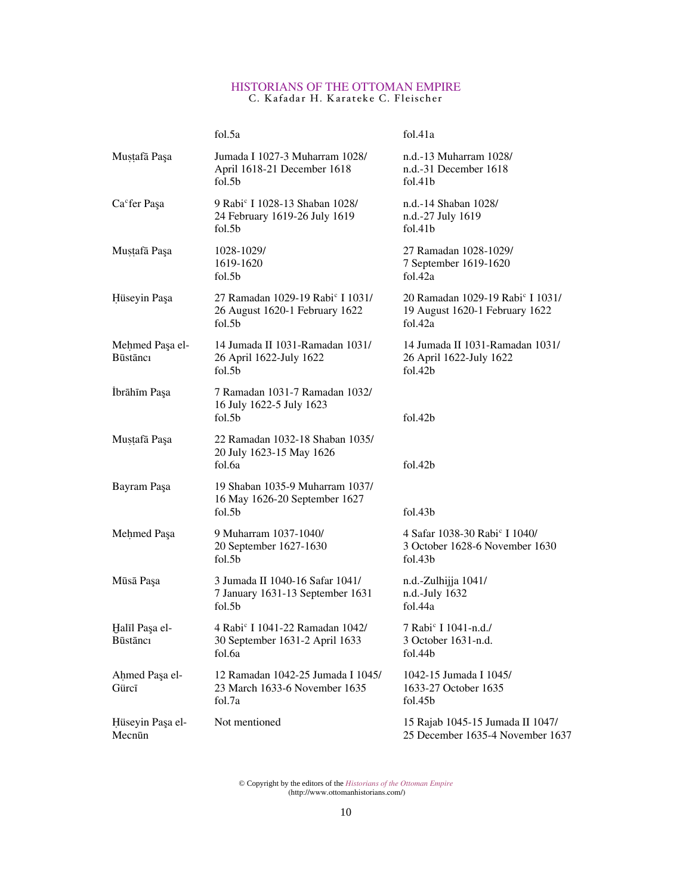|                                    | fol.5a                                                                                               | fol.41a                                                                                            |
|------------------------------------|------------------------------------------------------------------------------------------------------|----------------------------------------------------------------------------------------------------|
| Mustafā Paşa                       | Jumada I 1027-3 Muharram 1028/<br>April 1618-21 December 1618<br>fol.5 <sub>b</sub>                  | n.d.-13 Muharram 1028/<br>n.d.-31 December 1618<br>fol.41b                                         |
| Ca <sup>c</sup> fer Paşa           | 9 Rabi <sup>c</sup> I 1028-13 Shaban 1028/<br>24 February 1619-26 July 1619<br>fol.5 <sub>b</sub>    | n.d.-14 Shaban 1028/<br>n.d.-27 July 1619<br>fol.41b                                               |
| Mustafā Paşa                       | 1028-1029/<br>1619-1620<br>fol.5 <sub>b</sub>                                                        | 27 Ramadan 1028-1029/<br>7 September 1619-1620<br>fol.42a                                          |
| Hüseyin Paşa                       | 27 Ramadan 1029-19 Rabi <sup>c</sup> I 1031/<br>26 August 1620-1 February 1622<br>fol.5 <sub>b</sub> | 20 Ramadan 1029-19 Rabi <sup>c</sup> I 1031/<br>19 August 1620-1 February 1622<br>fol.42a          |
| Mehmed Paşa el-<br><b>Būstānci</b> | 14 Jumada II 1031-Ramadan 1031/<br>26 April 1622-July 1622<br>fol.5 <sub>b</sub>                     | 14 Jumada II 1031-Ramadan 1031/<br>26 April 1622-July 1622<br>fol.42b                              |
| İbrāhīm Paşa                       | 7 Ramadan 1031-7 Ramadan 1032/<br>16 July 1622-5 July 1623<br>fol.5 <sub>b</sub>                     | fol.42b                                                                                            |
| Mustafā Paşa                       | 22 Ramadan 1032-18 Shaban 1035/<br>20 July 1623-15 May 1626<br>fol.6a                                | fol.42b                                                                                            |
| Bayram Paşa                        | 19 Shaban 1035-9 Muharram 1037/<br>16 May 1626-20 September 1627<br>fol.5 <sub>b</sub>               | fol.43 <sub>b</sub>                                                                                |
| Mehmed Paşa                        | 9 Muharram 1037-1040/<br>20 September 1627-1630<br>fol.5 <sub>b</sub>                                | 4 Safar 1038-30 Rabi <sup>c</sup> I 1040/<br>3 October 1628-6 November 1630<br>fol.43 <sub>b</sub> |
| Mūsā Paşa                          | 3 Jumada II 1040-16 Safar 1041/<br>7 January 1631-13 September 1631<br>fol.5b                        | n.d.-Zulhijja 1041/<br>n.d.-July 1632<br>fol.44a                                                   |
| Halīl Paşa el-<br>Būstānci         | 4 Rabi <sup>c</sup> I 1041-22 Ramadan 1042/<br>30 September 1631-2 April 1633<br>fol.6a              | 7 Rabi <sup>c</sup> I 1041-n.d./<br>3 October 1631-n.d.<br>fol.44b                                 |
| Ahmed Paşa el-<br>Gürcī            | 12 Ramadan 1042-25 Jumada I 1045/<br>23 March 1633-6 November 1635<br>fol.7a                         | 1042-15 Jumada I 1045/<br>1633-27 October 1635<br>fol.45b                                          |
| Hüseyin Paşa el-<br>Mecnūn         | Not mentioned                                                                                        | 15 Rajab 1045-15 Jumada II 1047/<br>25 December 1635-4 November 1637                               |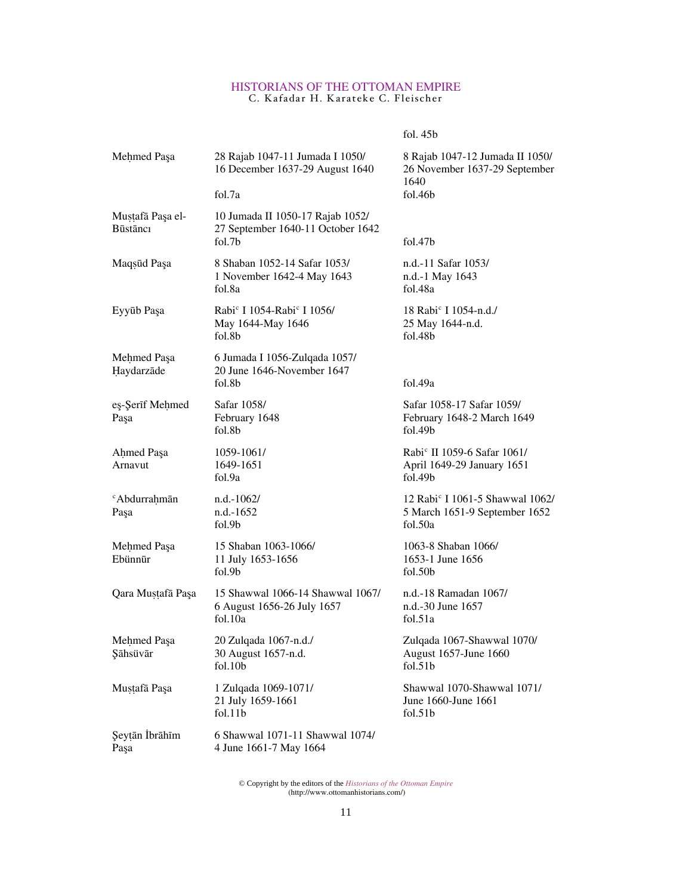fol. 45b

| Mehmed Paşa                      | 28 Rajab 1047-11 Jumada I 1050/<br>16 December 1637-29 August 1640<br>fol.7a                | 8 Rajab 1047-12 Jumada II 1050/<br>26 November 1637-29 September<br>1640<br>fol.46 <sub>b</sub> |
|----------------------------------|---------------------------------------------------------------------------------------------|-------------------------------------------------------------------------------------------------|
| Mustafā Paşa el-<br>Būstānci     | 10 Jumada II 1050-17 Rajab 1052/<br>27 September 1640-11 October 1642<br>fol.7 <sub>b</sub> | fol.47 <sub>b</sub>                                                                             |
| Maqsūd Paşa                      | 8 Shaban 1052-14 Safar 1053/<br>1 November 1642-4 May 1643<br>fol.8a                        | n.d.-11 Safar 1053/<br>n.d.-1 May 1643<br>fol.48a                                               |
| Eyyūb Paşa                       | Rabi <sup>c</sup> I 1054-Rabi <sup>c</sup> I 1056/<br>May 1644-May 1646<br>fol.8b           | 18 Rabi <sup>c</sup> I 1054-n.d./<br>25 May 1644-n.d.<br>fol.48 <sub>b</sub>                    |
| Mehmed Paşa                      | 6 Jumada I 1056-Zulqada 1057/                                                               |                                                                                                 |
| Haydarzāde                       | 20 June 1646-November 1647<br>fol.8 <sub>b</sub>                                            | fol.49a                                                                                         |
| eş-Şerīf Mehmed<br>Paşa          | Safar 1058/<br>February 1648<br>fol.8b                                                      | Safar 1058-17 Safar 1059/<br>February 1648-2 March 1649<br>fol.49 <sub>b</sub>                  |
| Ahmed Paşa<br>Arnavut            | 1059-1061/<br>1649-1651<br>fol.9a                                                           | Rabi <sup>c</sup> II 1059-6 Safar 1061/<br>April 1649-29 January 1651<br>fol.49 <sub>b</sub>    |
| <sup>c</sup> Abdurrahmān<br>Paşa | $n.d.-1062/$<br>$n.d.-1652$<br>fol.9b                                                       | 12 Rabi <sup>c</sup> I 1061-5 Shawwal 1062/<br>5 March 1651-9 September 1652<br>fol.50a         |
| Mehmed Paşa<br>Ebünnūr           | 15 Shaban 1063-1066/<br>11 July 1653-1656<br>fol.9b                                         | 1063-8 Shaban 1066/<br>1653-1 June 1656<br>fol.50 <sub>b</sub>                                  |
| Qara Mustafā Paşa                | 15 Shawwal 1066-14 Shawwal 1067/<br>6 August 1656-26 July 1657<br>fol.10a                   | n.d.-18 Ramadan 1067/<br>n.d.-30 June 1657<br>fol.51a                                           |
| Mehmed Paşa<br>Şāhsüvār          | 20 Zulqada 1067-n.d./<br>30 August 1657-n.d.<br>fol.10b                                     | Zulqada 1067-Shawwal 1070/<br>August 1657-June 1660<br>fol.51 <sub>b</sub>                      |
| Mustafā Paşa                     | 1 Zulqada 1069-1071/<br>21 July 1659-1661<br>fol.11b                                        | Shawwal 1070-Shawwal 1071/<br>June 1660-June 1661<br>fol.51 <sub>b</sub>                        |
| Şeytān İbrāhīm<br>Paşa           | 6 Shawwal 1071-11 Shawwal 1074/<br>4 June 1661-7 May 1664                                   |                                                                                                 |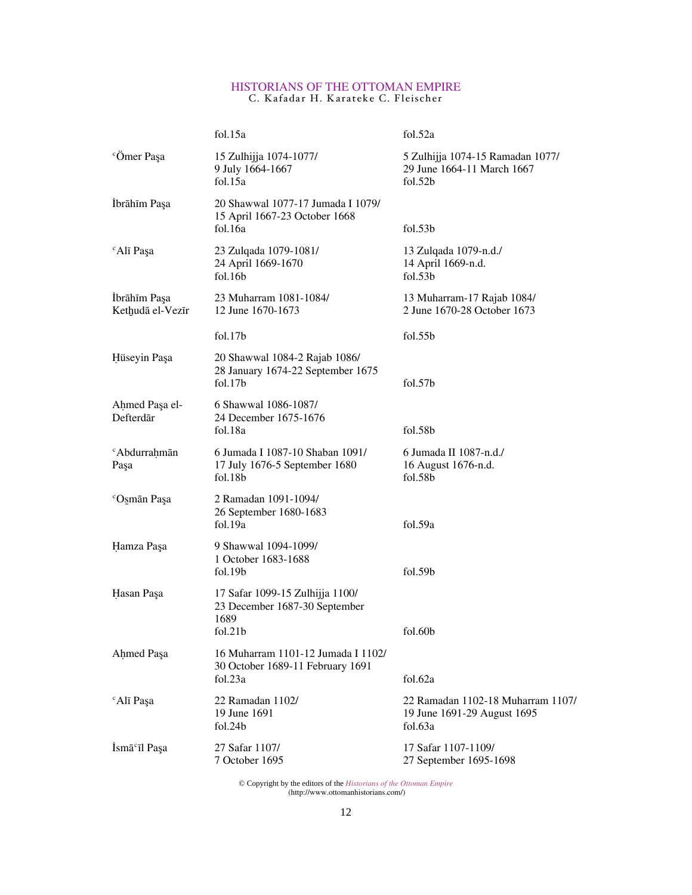|                                  | fol.15a                                                                                 | fol.52a                                                                     |
|----------------------------------|-----------------------------------------------------------------------------------------|-----------------------------------------------------------------------------|
| <sup>c</sup> Ömer Paşa           | 15 Zulhijja 1074-1077/<br>9 July 1664-1667<br>fol.15a                                   | 5 Zulhijja 1074-15 Ramadan 1077/<br>29 June 1664-11 March 1667<br>fol.52b   |
| İbrāhīm Paşa                     | 20 Shawwal 1077-17 Jumada I 1079/<br>15 April 1667-23 October 1668<br>fol.16a           | fol.53 <sub>b</sub>                                                         |
| <sup>c</sup> Alī Paşa            | 23 Zulqada 1079-1081/<br>24 April 1669-1670<br>fol.16b                                  | 13 Zulqada 1079-n.d./<br>14 April 1669-n.d.<br>fol. 53 <sub>b</sub>         |
| İbrāhīm Paşa<br>Kethudā el-Vezīr | 23 Muharram 1081-1084/<br>12 June 1670-1673                                             | 13 Muharram-17 Rajab 1084/<br>2 June 1670-28 October 1673                   |
|                                  | fol.17b                                                                                 | fol.55b                                                                     |
| Hüseyin Paşa                     | 20 Shawwal 1084-2 Rajab 1086/<br>28 January 1674-22 September 1675<br>fol.17b           | fol.57 <sub>b</sub>                                                         |
| Ahmed Paşa el-<br>Defterdār      | 6 Shawwal 1086-1087/<br>24 December 1675-1676<br>fol.18a                                | fol.58 <sub>b</sub>                                                         |
| <sup>c</sup> Abdurrahmān<br>Paşa | 6 Jumada I 1087-10 Shaban 1091/<br>17 July 1676-5 September 1680<br>fol.18 <sub>b</sub> | 6 Jumada II 1087-n.d./<br>16 August 1676-n.d.<br>fol.58 <sub>b</sub>        |
| <sup>c</sup> Osmān Paşa          | 2 Ramadan 1091-1094/<br>26 September 1680-1683<br>fol.19a                               | fol.59a                                                                     |
| Hamza Paşa                       | 9 Shawwal 1094-1099/<br>1 October 1683-1688<br>fol.19 <sub>b</sub>                      | fol.59 <sub>b</sub>                                                         |
| Hasan Paşa                       | 17 Safar 1099-15 Zulhijja 1100/<br>23 December 1687-30 September<br>1689<br>fol.21b     | fol.60b                                                                     |
| Ahmed Paşa                       | 16 Muharram 1101-12 Jumada I 1102/<br>30 October 1689-11 February 1691<br>fol.23a       | fol.62a                                                                     |
| <sup>c</sup> Alī Paşa            | 22 Ramadan 1102/<br>19 June 1691<br>fol.24b                                             | 22 Ramadan 1102-18 Muharram 1107/<br>19 June 1691-29 August 1695<br>fol.63a |
| İsmā <sup>c</sup> īl Paşa        | 27 Safar 1107/<br>7 October 1695                                                        | 17 Safar 1107-1109/<br>27 September 1695-1698                               |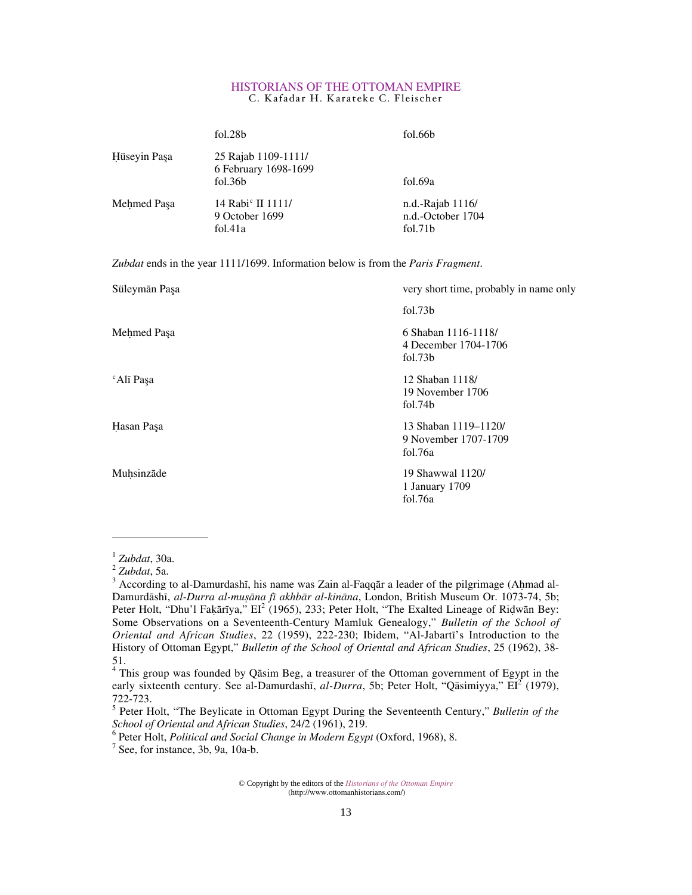|              | fol.28b                                                            | fol.66b                                               |
|--------------|--------------------------------------------------------------------|-------------------------------------------------------|
| Hüseyin Paşa | 25 Rajab 1109-1111/<br>6 February 1698-1699<br>fol.36 <sub>b</sub> | fol.69a                                               |
| Mehmed Paşa  | 14 Rabi <sup>c</sup> II 1111/<br>9 October 1699<br>fol.41a         | $n.d.-Ra$ and $1116/$<br>n.d.-October 1704<br>fol.71b |

*Zubdat* ends in the year 1111/1699. Information below is from the *Paris Fragment*.

| Süleymān Paşa         | very short time, probably in name only                  |
|-----------------------|---------------------------------------------------------|
|                       | fol.73b                                                 |
| Mehmed Paşa           | 6 Shaban 1116-1118/<br>4 December 1704-1706<br>fol.73b  |
| <sup>c</sup> Alī Paşa | 12 Shaban 1118/<br>19 November 1706<br>fol.74b          |
| Hasan Paşa            | 13 Shaban 1119-1120/<br>9 November 1707-1709<br>fol.76a |
| Muhsinzāde            | 19 Shawwal 1120/<br>1 January 1709<br>fol.76a           |

 $<sup>1</sup> Zubdat$ , 30a.</sup>

 $\overline{a}$ 

5 Peter Holt, "The Beylicate in Ottoman Egypt During the Seventeenth Century," *Bulletin of the School of Oriental and African Studies*, 24/2 (1961), 219.

 $^6$  Peter Holt, *Political and Social Change in Modern Egypt* (Oxford, 1968), 8.

 $<sup>7</sup>$  See, for instance, 3b, 9a, 10a-b.</sup>

 $2$ *Zubdat*, 5a.

 $3$  According to al-Damurdashī, his name was Zain al-Faqqār a leader of the pilgrimage (Aḥmad al-Damurdāshī, al-Durra al-muṣāna fī akhbār al-kināna, London, British Museum Or. 1073-74, 5b; Peter Holt, "Dhu'l Fakārīya,"  $EI^2$  (1965), 233; Peter Holt, "The Exalted Lineage of Ridwān Bey: Some Observations on a Seventeenth-Century Mamluk Genealogy," *Bulletin of the School of Oriental and African Studies*, 22 (1959), 222-230; Ibidem, "Al-Jabartı's Introduction to the History of Ottoman Egypt," *Bulletin of the School of Oriental and African Studies*, 25 (1962), 38- 51.

 $4$  This group was founded by Qāsim Beg, a treasurer of the Ottoman government of Egypt in the early sixteenth century. See al-Damurdashī, *al-Durra*, 5b; Peter Holt, "Qāsimiyya," EI<sup>2</sup> (1979), 722-723.

<sup>©</sup> Copyright by the editors of the *Historians of the Ottoman Empire* (http://www.ottomanhistorians.com/)